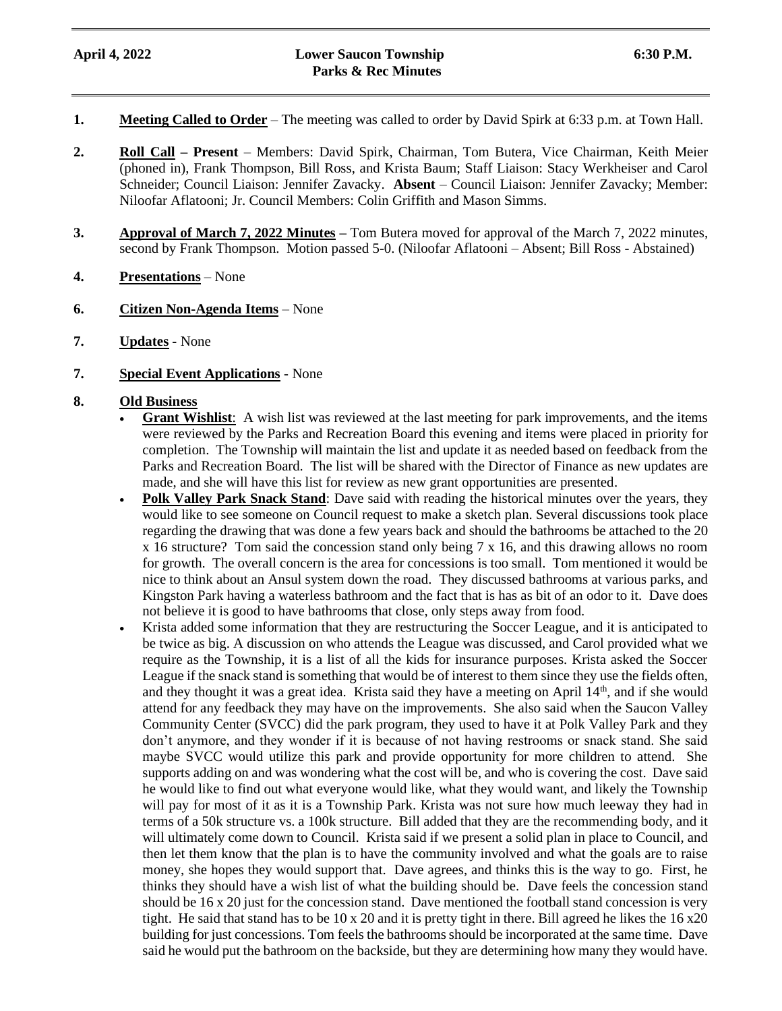- **1. Meeting Called to Order** The meeting was called to order by David Spirk at 6:33 p.m. at Town Hall.
- **2. Roll Call – Present** Members: David Spirk, Chairman, Tom Butera, Vice Chairman, Keith Meier (phoned in), Frank Thompson, Bill Ross, and Krista Baum; Staff Liaison: Stacy Werkheiser and Carol Schneider; Council Liaison: Jennifer Zavacky. **Absent** – Council Liaison: Jennifer Zavacky; Member: Niloofar Aflatooni; Jr. Council Members: Colin Griffith and Mason Simms.
- **3. Approval of March 7, 2022 Minutes –** Tom Butera moved for approval of the March 7, 2022 minutes, second by Frank Thompson. Motion passed 5-0. (Niloofar Aflatooni – Absent; Bill Ross - Abstained)
- **4. Presentations** None
- **6. Citizen Non-Agenda Items** None
- **7. Updates -** None
- **7. Special Event Applications -** None

## **8. Old Business**

- **Grant Wishlist:** A wish list was reviewed at the last meeting for park improvements, and the items were reviewed by the Parks and Recreation Board this evening and items were placed in priority for completion. The Township will maintain the list and update it as needed based on feedback from the Parks and Recreation Board. The list will be shared with the Director of Finance as new updates are made, and she will have this list for review as new grant opportunities are presented.
- **Polk Valley Park Snack Stand**: Dave said with reading the historical minutes over the years, they would like to see someone on Council request to make a sketch plan. Several discussions took place regarding the drawing that was done a few years back and should the bathrooms be attached to the 20 x 16 structure? Tom said the concession stand only being 7 x 16, and this drawing allows no room for growth. The overall concern is the area for concessions is too small. Tom mentioned it would be nice to think about an Ansul system down the road. They discussed bathrooms at various parks, and Kingston Park having a waterless bathroom and the fact that is has as bit of an odor to it. Dave does not believe it is good to have bathrooms that close, only steps away from food.
- Krista added some information that they are restructuring the Soccer League, and it is anticipated to be twice as big. A discussion on who attends the League was discussed, and Carol provided what we require as the Township, it is a list of all the kids for insurance purposes. Krista asked the Soccer League if the snack stand is something that would be of interest to them since they use the fields often, and they thought it was a great idea. Krista said they have a meeting on April  $14<sup>th</sup>$ , and if she would attend for any feedback they may have on the improvements. She also said when the Saucon Valley Community Center (SVCC) did the park program, they used to have it at Polk Valley Park and they don't anymore, and they wonder if it is because of not having restrooms or snack stand. She said maybe SVCC would utilize this park and provide opportunity for more children to attend. She supports adding on and was wondering what the cost will be, and who is covering the cost. Dave said he would like to find out what everyone would like, what they would want, and likely the Township will pay for most of it as it is a Township Park. Krista was not sure how much leeway they had in terms of a 50k structure vs. a 100k structure. Bill added that they are the recommending body, and it will ultimately come down to Council. Krista said if we present a solid plan in place to Council, and then let them know that the plan is to have the community involved and what the goals are to raise money, she hopes they would support that. Dave agrees, and thinks this is the way to go. First, he thinks they should have a wish list of what the building should be. Dave feels the concession stand should be 16 x 20 just for the concession stand. Dave mentioned the football stand concession is very tight. He said that stand has to be  $10 \times 20$  and it is pretty tight in there. Bill agreed he likes the  $16 \times 20$ building for just concessions. Tom feels the bathrooms should be incorporated at the same time. Dave said he would put the bathroom on the backside, but they are determining how many they would have.